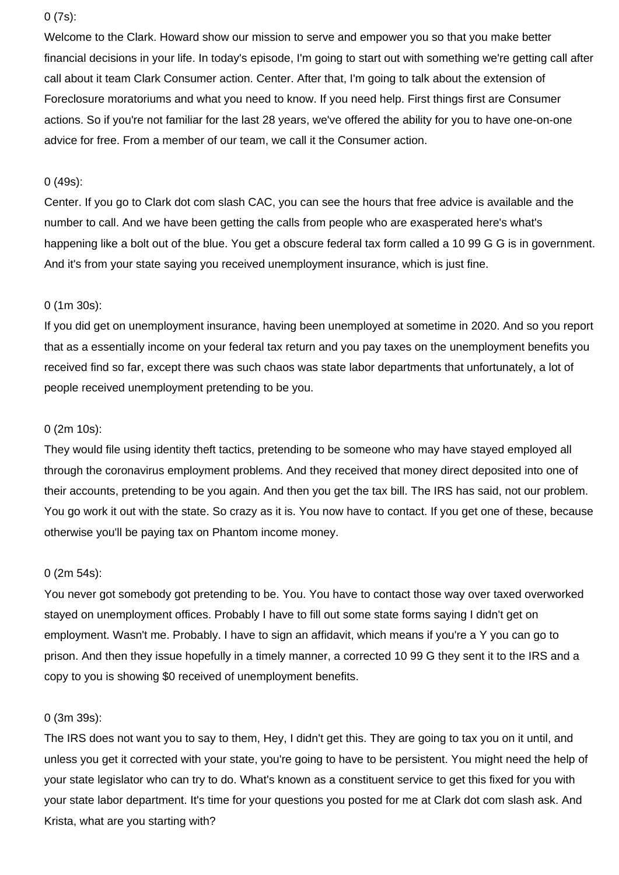## 0 (7s):

Welcome to the Clark. Howard show our mission to serve and empower you so that you make better financial decisions in your life. In today's episode, I'm going to start out with something we're getting call after call about it team Clark Consumer action. Center. After that, I'm going to talk about the extension of Foreclosure moratoriums and what you need to know. If you need help. First things first are Consumer actions. So if you're not familiar for the last 28 years, we've offered the ability for you to have one-on-one advice for free. From a member of our team, we call it the Consumer action.

# 0 (49s):

Center. If you go to Clark dot com slash CAC, you can see the hours that free advice is available and the number to call. And we have been getting the calls from people who are exasperated here's what's happening like a bolt out of the blue. You get a obscure federal tax form called a 10 99 G G is in government. And it's from your state saying you received unemployment insurance, which is just fine.

## 0 (1m 30s):

If you did get on unemployment insurance, having been unemployed at sometime in 2020. And so you report that as a essentially income on your federal tax return and you pay taxes on the unemployment benefits you received find so far, except there was such chaos was state labor departments that unfortunately, a lot of people received unemployment pretending to be you.

## 0 (2m 10s):

They would file using identity theft tactics, pretending to be someone who may have stayed employed all through the coronavirus employment problems. And they received that money direct deposited into one of their accounts, pretending to be you again. And then you get the tax bill. The IRS has said, not our problem. You go work it out with the state. So crazy as it is. You now have to contact. If you get one of these, because otherwise you'll be paying tax on Phantom income money.

#### 0 (2m 54s):

You never got somebody got pretending to be. You. You have to contact those way over taxed overworked stayed on unemployment offices. Probably I have to fill out some state forms saying I didn't get on employment. Wasn't me. Probably. I have to sign an affidavit, which means if you're a Y you can go to prison. And then they issue hopefully in a timely manner, a corrected 10 99 G they sent it to the IRS and a copy to you is showing \$0 received of unemployment benefits.

#### 0 (3m 39s):

The IRS does not want you to say to them, Hey, I didn't get this. They are going to tax you on it until, and unless you get it corrected with your state, you're going to have to be persistent. You might need the help of your state legislator who can try to do. What's known as a constituent service to get this fixed for you with your state labor department. It's time for your questions you posted for me at Clark dot com slash ask. And Krista, what are you starting with?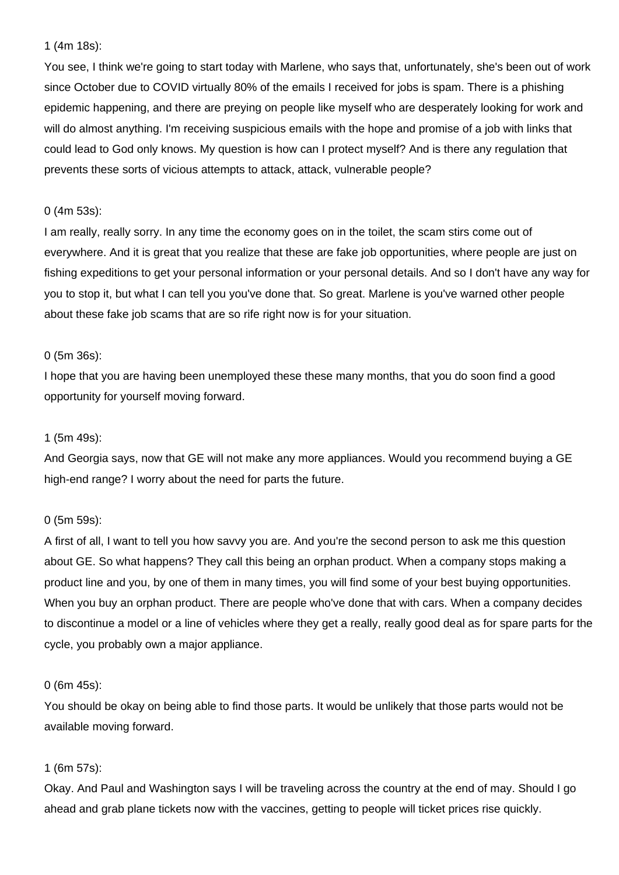# 1 (4m 18s):

You see, I think we're going to start today with Marlene, who says that, unfortunately, she's been out of work since October due to COVID virtually 80% of the emails I received for jobs is spam. There is a phishing epidemic happening, and there are preying on people like myself who are desperately looking for work and will do almost anything. I'm receiving suspicious emails with the hope and promise of a job with links that could lead to God only knows. My question is how can I protect myself? And is there any regulation that prevents these sorts of vicious attempts to attack, attack, vulnerable people?

# 0 (4m 53s):

I am really, really sorry. In any time the economy goes on in the toilet, the scam stirs come out of everywhere. And it is great that you realize that these are fake job opportunities, where people are just on fishing expeditions to get your personal information or your personal details. And so I don't have any way for you to stop it, but what I can tell you you've done that. So great. Marlene is you've warned other people about these fake job scams that are so rife right now is for your situation.

# 0 (5m 36s):

I hope that you are having been unemployed these these many months, that you do soon find a good opportunity for yourself moving forward.

# 1 (5m 49s):

And Georgia says, now that GE will not make any more appliances. Would you recommend buying a GE high-end range? I worry about the need for parts the future.

# 0 (5m 59s):

A first of all, I want to tell you how savvy you are. And you're the second person to ask me this question about GE. So what happens? They call this being an orphan product. When a company stops making a product line and you, by one of them in many times, you will find some of your best buying opportunities. When you buy an orphan product. There are people who've done that with cars. When a company decides to discontinue a model or a line of vehicles where they get a really, really good deal as for spare parts for the cycle, you probably own a major appliance.

#### 0 (6m 45s):

You should be okay on being able to find those parts. It would be unlikely that those parts would not be available moving forward.

# 1 (6m 57s):

Okay. And Paul and Washington says I will be traveling across the country at the end of may. Should I go ahead and grab plane tickets now with the vaccines, getting to people will ticket prices rise quickly.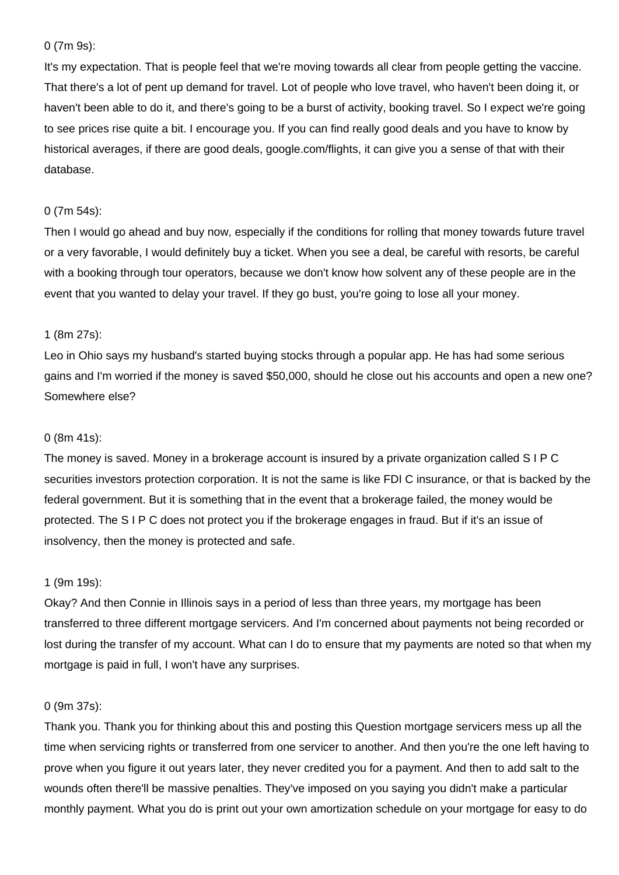## 0 (7m 9s):

It's my expectation. That is people feel that we're moving towards all clear from people getting the vaccine. That there's a lot of pent up demand for travel. Lot of people who love travel, who haven't been doing it, or haven't been able to do it, and there's going to be a burst of activity, booking travel. So I expect we're going to see prices rise quite a bit. I encourage you. If you can find really good deals and you have to know by historical averages, if there are good deals, google.com/flights, it can give you a sense of that with their database.

#### 0 (7m 54s):

Then I would go ahead and buy now, especially if the conditions for rolling that money towards future travel or a very favorable, I would definitely buy a ticket. When you see a deal, be careful with resorts, be careful with a booking through tour operators, because we don't know how solvent any of these people are in the event that you wanted to delay your travel. If they go bust, you're going to lose all your money.

# 1 (8m 27s):

Leo in Ohio says my husband's started buying stocks through a popular app. He has had some serious gains and I'm worried if the money is saved \$50,000, should he close out his accounts and open a new one? Somewhere else?

# 0 (8m 41s):

The money is saved. Money in a brokerage account is insured by a private organization called S I P C securities investors protection corporation. It is not the same is like FDI C insurance, or that is backed by the federal government. But it is something that in the event that a brokerage failed, the money would be protected. The S I P C does not protect you if the brokerage engages in fraud. But if it's an issue of insolvency, then the money is protected and safe.

#### 1 (9m 19s):

Okay? And then Connie in Illinois says in a period of less than three years, my mortgage has been transferred to three different mortgage servicers. And I'm concerned about payments not being recorded or lost during the transfer of my account. What can I do to ensure that my payments are noted so that when my mortgage is paid in full, I won't have any surprises.

#### 0 (9m 37s):

Thank you. Thank you for thinking about this and posting this Question mortgage servicers mess up all the time when servicing rights or transferred from one servicer to another. And then you're the one left having to prove when you figure it out years later, they never credited you for a payment. And then to add salt to the wounds often there'll be massive penalties. They've imposed on you saying you didn't make a particular monthly payment. What you do is print out your own amortization schedule on your mortgage for easy to do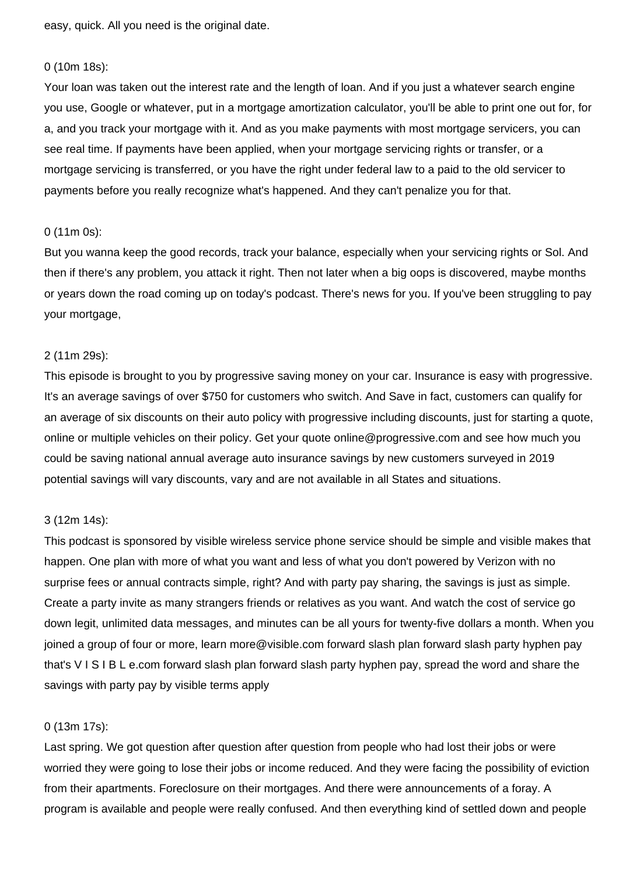easy, quick. All you need is the original date.

#### 0 (10m 18s):

Your loan was taken out the interest rate and the length of loan. And if you just a whatever search engine you use, Google or whatever, put in a mortgage amortization calculator, you'll be able to print one out for, for a, and you track your mortgage with it. And as you make payments with most mortgage servicers, you can see real time. If payments have been applied, when your mortgage servicing rights or transfer, or a mortgage servicing is transferred, or you have the right under federal law to a paid to the old servicer to payments before you really recognize what's happened. And they can't penalize you for that.

#### 0 (11m 0s):

But you wanna keep the good records, track your balance, especially when your servicing rights or Sol. And then if there's any problem, you attack it right. Then not later when a big oops is discovered, maybe months or years down the road coming up on today's podcast. There's news for you. If you've been struggling to pay your mortgage,

#### 2 (11m 29s):

This episode is brought to you by progressive saving money on your car. Insurance is easy with progressive. It's an average savings of over \$750 for customers who switch. And Save in fact, customers can qualify for an average of six discounts on their auto policy with progressive including discounts, just for starting a quote, online or multiple vehicles on their policy. Get your quote online@progressive.com and see how much you could be saving national annual average auto insurance savings by new customers surveyed in 2019 potential savings will vary discounts, vary and are not available in all States and situations.

# 3 (12m 14s):

This podcast is sponsored by visible wireless service phone service should be simple and visible makes that happen. One plan with more of what you want and less of what you don't powered by Verizon with no surprise fees or annual contracts simple, right? And with party pay sharing, the savings is just as simple. Create a party invite as many strangers friends or relatives as you want. And watch the cost of service go down legit, unlimited data messages, and minutes can be all yours for twenty-five dollars a month. When you joined a group of four or more, learn more@visible.com forward slash plan forward slash party hyphen pay that's V I S I B L e.com forward slash plan forward slash party hyphen pay, spread the word and share the savings with party pay by visible terms apply

# 0 (13m 17s):

Last spring. We got question after question after question from people who had lost their jobs or were worried they were going to lose their jobs or income reduced. And they were facing the possibility of eviction from their apartments. Foreclosure on their mortgages. And there were announcements of a foray. A program is available and people were really confused. And then everything kind of settled down and people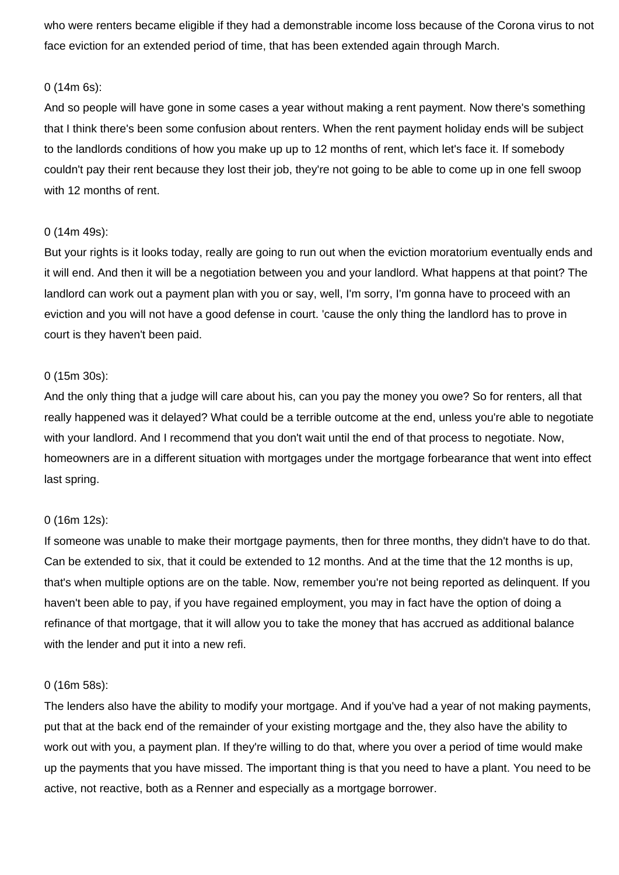who were renters became eligible if they had a demonstrable income loss because of the Corona virus to not face eviction for an extended period of time, that has been extended again through March.

# 0 (14m 6s):

And so people will have gone in some cases a year without making a rent payment. Now there's something that I think there's been some confusion about renters. When the rent payment holiday ends will be subject to the landlords conditions of how you make up up to 12 months of rent, which let's face it. If somebody couldn't pay their rent because they lost their job, they're not going to be able to come up in one fell swoop with 12 months of rent.

## 0 (14m 49s):

But your rights is it looks today, really are going to run out when the eviction moratorium eventually ends and it will end. And then it will be a negotiation between you and your landlord. What happens at that point? The landlord can work out a payment plan with you or say, well, I'm sorry, I'm gonna have to proceed with an eviction and you will not have a good defense in court. 'cause the only thing the landlord has to prove in court is they haven't been paid.

## 0 (15m 30s):

And the only thing that a judge will care about his, can you pay the money you owe? So for renters, all that really happened was it delayed? What could be a terrible outcome at the end, unless you're able to negotiate with your landlord. And I recommend that you don't wait until the end of that process to negotiate. Now, homeowners are in a different situation with mortgages under the mortgage forbearance that went into effect last spring.

# 0 (16m 12s):

If someone was unable to make their mortgage payments, then for three months, they didn't have to do that. Can be extended to six, that it could be extended to 12 months. And at the time that the 12 months is up, that's when multiple options are on the table. Now, remember you're not being reported as delinquent. If you haven't been able to pay, if you have regained employment, you may in fact have the option of doing a refinance of that mortgage, that it will allow you to take the money that has accrued as additional balance with the lender and put it into a new refi.

#### 0 (16m 58s):

The lenders also have the ability to modify your mortgage. And if you've had a year of not making payments, put that at the back end of the remainder of your existing mortgage and the, they also have the ability to work out with you, a payment plan. If they're willing to do that, where you over a period of time would make up the payments that you have missed. The important thing is that you need to have a plant. You need to be active, not reactive, both as a Renner and especially as a mortgage borrower.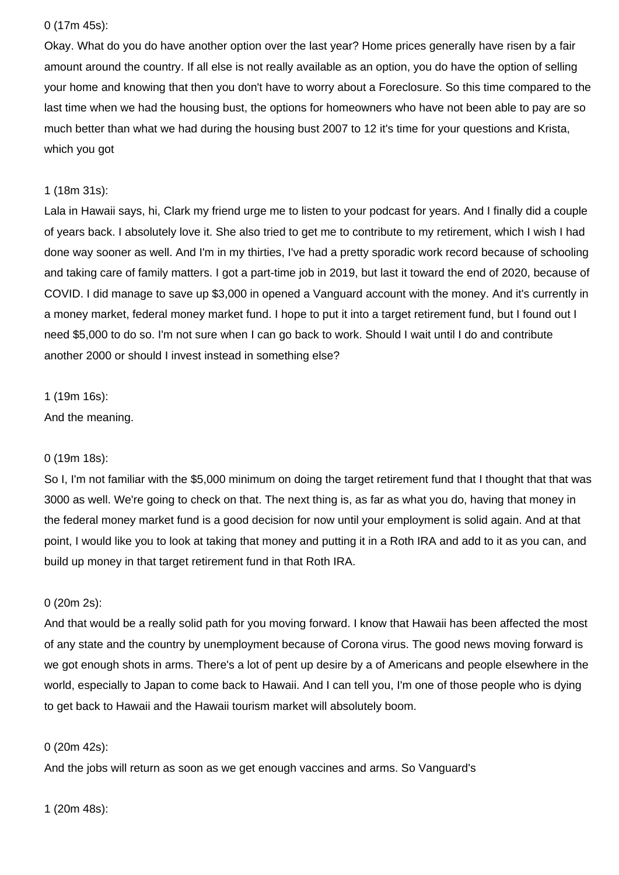# 0 (17m 45s):

Okay. What do you do have another option over the last year? Home prices generally have risen by a fair amount around the country. If all else is not really available as an option, you do have the option of selling your home and knowing that then you don't have to worry about a Foreclosure. So this time compared to the last time when we had the housing bust, the options for homeowners who have not been able to pay are so much better than what we had during the housing bust 2007 to 12 it's time for your questions and Krista, which you got

# 1 (18m 31s):

Lala in Hawaii says, hi, Clark my friend urge me to listen to your podcast for years. And I finally did a couple of years back. I absolutely love it. She also tried to get me to contribute to my retirement, which I wish I had done way sooner as well. And I'm in my thirties, I've had a pretty sporadic work record because of schooling and taking care of family matters. I got a part-time job in 2019, but last it toward the end of 2020, because of COVID. I did manage to save up \$3,000 in opened a Vanguard account with the money. And it's currently in a money market, federal money market fund. I hope to put it into a target retirement fund, but I found out I need \$5,000 to do so. I'm not sure when I can go back to work. Should I wait until I do and contribute another 2000 or should I invest instead in something else?

#### 1 (19m 16s):

And the meaning.

# 0 (19m 18s):

So I, I'm not familiar with the \$5,000 minimum on doing the target retirement fund that I thought that that was 3000 as well. We're going to check on that. The next thing is, as far as what you do, having that money in the federal money market fund is a good decision for now until your employment is solid again. And at that point, I would like you to look at taking that money and putting it in a Roth IRA and add to it as you can, and build up money in that target retirement fund in that Roth IRA.

# 0 (20m 2s):

And that would be a really solid path for you moving forward. I know that Hawaii has been affected the most of any state and the country by unemployment because of Corona virus. The good news moving forward is we got enough shots in arms. There's a lot of pent up desire by a of Americans and people elsewhere in the world, especially to Japan to come back to Hawaii. And I can tell you, I'm one of those people who is dying to get back to Hawaii and the Hawaii tourism market will absolutely boom.

#### 0 (20m 42s):

And the jobs will return as soon as we get enough vaccines and arms. So Vanguard's

1 (20m 48s):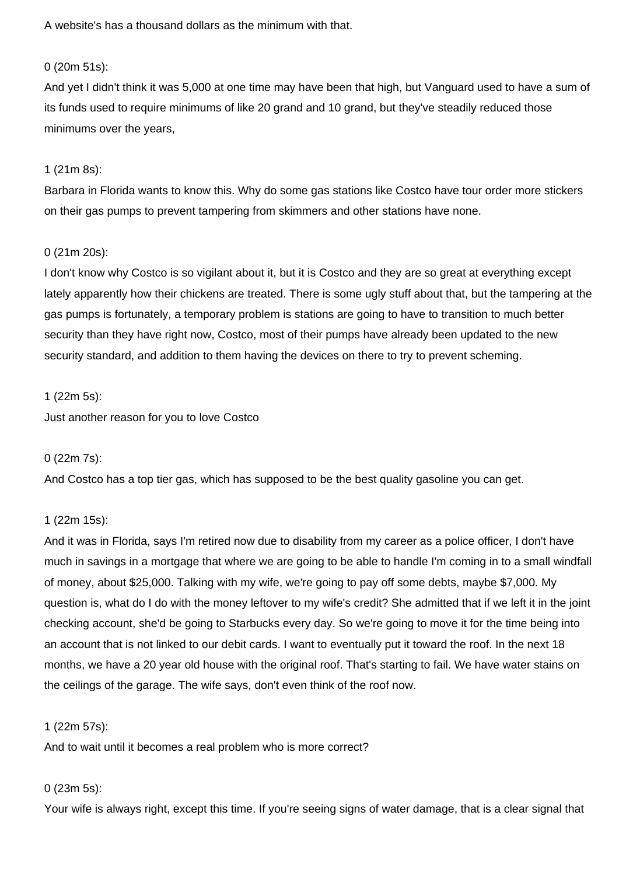A website's has a thousand dollars as the minimum with that.

# 0 (20m 51s):

And yet I didn't think it was 5,000 at one time may have been that high, but Vanguard used to have a sum of its funds used to require minimums of like 20 grand and 10 grand, but they've steadily reduced those minimums over the years,

## 1 (21m 8s):

Barbara in Florida wants to know this. Why do some gas stations like Costco have tour order more stickers on their gas pumps to prevent tampering from skimmers and other stations have none.

## 0 (21m 20s):

I don't know why Costco is so vigilant about it, but it is Costco and they are so great at everything except lately apparently how their chickens are treated. There is some ugly stuff about that, but the tampering at the gas pumps is fortunately, a temporary problem is stations are going to have to transition to much better security than they have right now, Costco, most of their pumps have already been updated to the new security standard, and addition to them having the devices on there to try to prevent scheming.

## 1 (22m 5s):

Just another reason for you to love Costco

#### 0 (22m 7s):

And Costco has a top tier gas, which has supposed to be the best quality gasoline you can get.

# 1 (22m 15s):

And it was in Florida, says I'm retired now due to disability from my career as a police officer, I don't have much in savings in a mortgage that where we are going to be able to handle I'm coming in to a small windfall of money, about \$25,000. Talking with my wife, we're going to pay off some debts, maybe \$7,000. My question is, what do I do with the money leftover to my wife's credit? She admitted that if we left it in the joint checking account, she'd be going to Starbucks every day. So we're going to move it for the time being into an account that is not linked to our debit cards. I want to eventually put it toward the roof. In the next 18 months, we have a 20 year old house with the original roof. That's starting to fail. We have water stains on the ceilings of the garage. The wife says, don't even think of the roof now.

#### 1 (22m 57s):

And to wait until it becomes a real problem who is more correct?

#### 0 (23m 5s):

Your wife is always right, except this time. If you're seeing signs of water damage, that is a clear signal that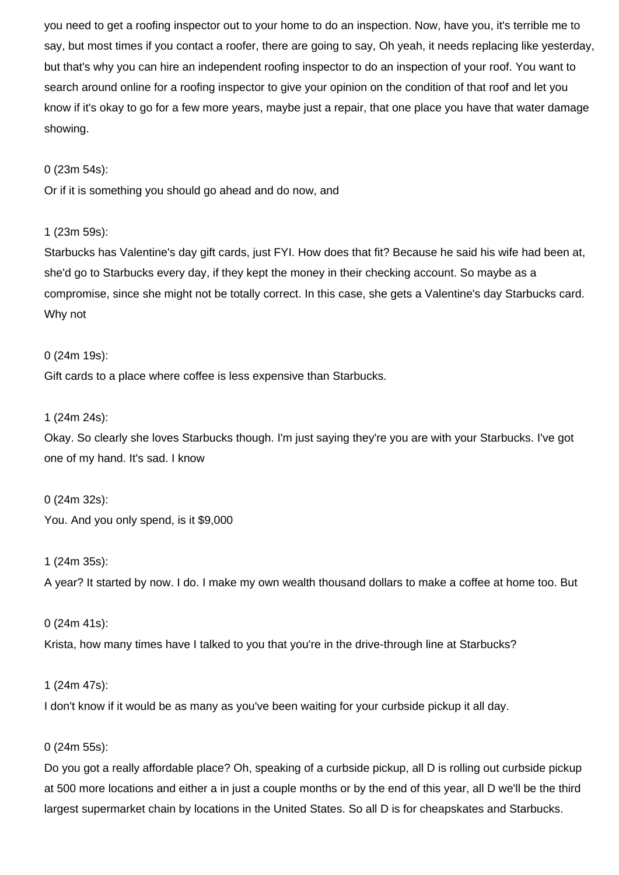you need to get a roofing inspector out to your home to do an inspection. Now, have you, it's terrible me to say, but most times if you contact a roofer, there are going to say, Oh yeah, it needs replacing like yesterday, but that's why you can hire an independent roofing inspector to do an inspection of your roof. You want to search around online for a roofing inspector to give your opinion on the condition of that roof and let you know if it's okay to go for a few more years, maybe just a repair, that one place you have that water damage showing.

## 0 (23m 54s):

Or if it is something you should go ahead and do now, and

# 1 (23m 59s):

Starbucks has Valentine's day gift cards, just FYI. How does that fit? Because he said his wife had been at, she'd go to Starbucks every day, if they kept the money in their checking account. So maybe as a compromise, since she might not be totally correct. In this case, she gets a Valentine's day Starbucks card. Why not

## 0 (24m 19s):

Gift cards to a place where coffee is less expensive than Starbucks.

## 1 (24m 24s):

Okay. So clearly she loves Starbucks though. I'm just saying they're you are with your Starbucks. I've got one of my hand. It's sad. I know

0 (24m 32s): You. And you only spend, is it \$9,000

# 1 (24m 35s):

A year? It started by now. I do. I make my own wealth thousand dollars to make a coffee at home too. But

0 (24m 41s): Krista, how many times have I talked to you that you're in the drive-through line at Starbucks?

#### 1 (24m 47s):

I don't know if it would be as many as you've been waiting for your curbside pickup it all day.

#### 0 (24m 55s):

Do you got a really affordable place? Oh, speaking of a curbside pickup, all D is rolling out curbside pickup at 500 more locations and either a in just a couple months or by the end of this year, all D we'll be the third largest supermarket chain by locations in the United States. So all D is for cheapskates and Starbucks.